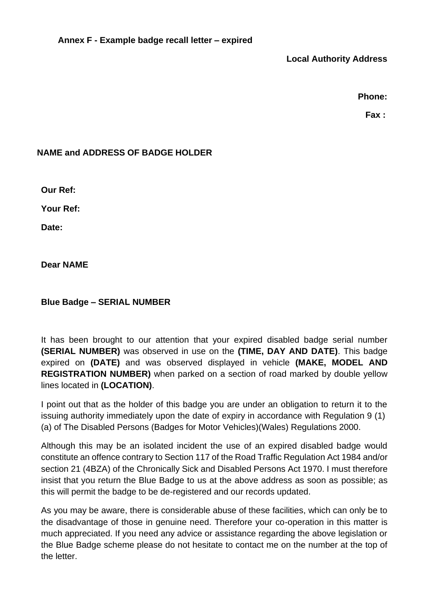**Local Authority Address**

**Phone:**

**Fax :**

## **NAME and ADDRESS OF BADGE HOLDER**

**Our Ref:**

**Your Ref:**

**Date:**

**Dear NAME**

## **Blue Badge – SERIAL NUMBER**

It has been brought to our attention that your expired disabled badge serial number **(SERIAL NUMBER)** was observed in use on the **(TIME, DAY AND DATE)**. This badge expired on **(DATE)** and was observed displayed in vehicle **(MAKE, MODEL AND REGISTRATION NUMBER)** when parked on a section of road marked by double yellow lines located in **(LOCATION)**.

I point out that as the holder of this badge you are under an obligation to return it to the issuing authority immediately upon the date of expiry in accordance with Regulation 9 (1) (a) of The Disabled Persons (Badges for Motor Vehicles)(Wales) Regulations 2000.

Although this may be an isolated incident the use of an expired disabled badge would constitute an offence contrary to Section 117 of the Road Traffic Regulation Act 1984 and/or section 21 (4BZA) of the Chronically Sick and Disabled Persons Act 1970. I must therefore insist that you return the Blue Badge to us at the above address as soon as possible; as this will permit the badge to be de-registered and our records updated.

As you may be aware, there is considerable abuse of these facilities, which can only be to the disadvantage of those in genuine need. Therefore your co-operation in this matter is much appreciated. If you need any advice or assistance regarding the above legislation or the Blue Badge scheme please do not hesitate to contact me on the number at the top of the letter.